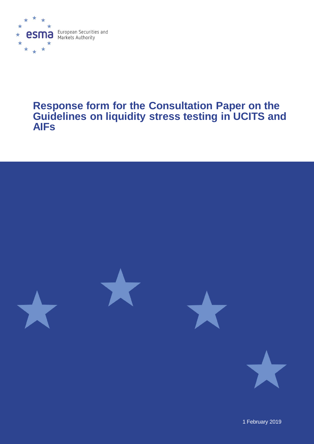

# **Response form for the Consultation Paper on the Guidelines on liquidity stress testing in UCITS and AIFs**



1 February 2019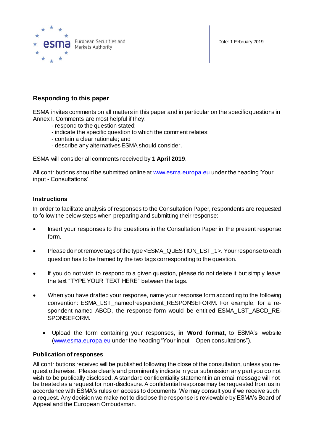



# **Responding to this paper**

ESMA invites comments on all matters in this paper and in particular on the specific questions in Annex I. Comments are most helpful if they:

- respond to the question stated;
- indicate the specific question to which the comment relates;
- contain a clear rationale; and
- describe any alternatives ESMA should consider.

ESMA will consider all comments received by **1 April 2019**.

All contributions should be submitted online a[t www.esma.europa.eu](http://www.esma.europa.eu/) under the heading 'Your input - Consultations'.

## **Instructions**

In order to facilitate analysis of responses to the Consultation Paper, respondents are requested to follow the below steps when preparing and submitting their response:

- Insert your responses to the questions in the Consultation Paper in the present response form.
- Please do not remove tags of the type <ESMA\_QUESTION\_LST\_1>. Your response to each question has to be framed by the two tags corresponding to the question.
- If you do not wish to respond to a given question, please do not delete it but simply leave the text "TYPE YOUR TEXT HERE" between the tags.
- When you have drafted your response, name your response form according to the following convention: ESMA\_LST\_nameofrespondent\_RESPONSEFORM. For example, for a respondent named ABCD, the response form would be entitled ESMA\_LST\_ABCD\_RE-SPONSEFORM.
	- Upload the form containing your responses, **in Word format**, to ESMA's website [\(www.esma.europa.eu](http://www.esma.europa.eu/) under the heading "Your input – Open consultations").

## **Publication of responses**

All contributions received will be published following the close of the consultation, unless you request otherwise. Please clearly and prominently indicate in your submission any part you do not wish to be publically disclosed. A standard confidentiality statement in an email message will not be treated as a request for non-disclosure. A confidential response may be requested from us in accordance with ESMA's rules on access to documents. We may consult you if we receive such a request. Any decision we make not to disclose the response is reviewable by ESMA's Board of Appeal and the European Ombudsman.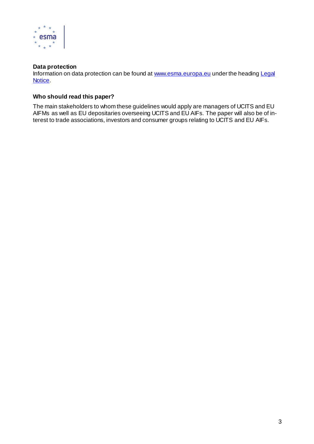

## **Data protection**

Information on data protection can be found a[t www.esma.europa.eu](http://www.esma.europa.eu/) under the heading Legal [Notice.](http://www.esma.europa.eu/legal-notice)

# **Who should read this paper?**

The main stakeholders to whom these guidelines would apply are managers of UCITS and EU AIFMs as well as EU depositaries overseeing UCITS and EU AIFs. The paper will also be of interest to trade associations, investors and consumer groups relating to UCITS and EU AIFs.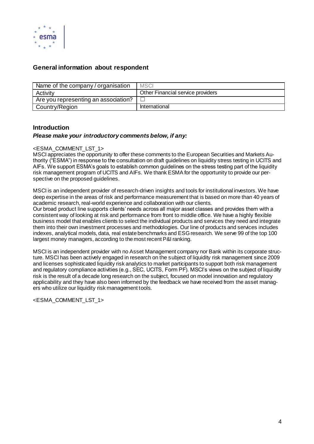

# **General information about respondent**

| Name of the company / organisation   | <b>MSCI</b>                       |
|--------------------------------------|-----------------------------------|
| Activity                             | Other Financial service providers |
| Are you representing an association? |                                   |
| Country/Region                       | International                     |

## **Introduction**

## *Please make your introductory comments below, if any:*

## <ESMA\_COMMENT\_LST\_1>

MSCI appreciates the opportunity to offer these comments to the European Securities and Markets Authority ("ESMA") in response to the consultation on draft guidelines on liquidity stress testing in UCITS and AIFs. We support ESMA's goals to establish common guidelines on the stress testing part of the liquidity risk management program of UCITS and AIFs. We thank ESMA for the opportunity to provide our perspective on the proposed guidelines.

MSCI is an independent provider of research-driven insights and tools for institutional investors. We have deep expertise in the areas of risk and performance measurement that is based on more than 40 years of academic research, real-world experience and collaboration with our clients.

Our broad product line supports clients' needs across all major asset classes and provides them with a consistent way of looking at risk and performance from front to middle office. We have a highly flexible business model that enables clients to select the individual products and services they need and integrate them into their own investment processes and methodologies. Our line of products and services includes indexes, analytical models, data, real estate benchmarks and ESG research. We serve 99 of the top 100 largest money managers, according to the most recent P&I ranking.

MSCI is an independent provider with no Asset Management company nor Bank within its corporate structure. MSCI has been actively engaged in research on the subject of liquidity risk management since 2009 and licenses sophisticated liquidity risk analytics to market participants to support both risk management and regulatory compliance activities (e.g., SEC, UCITS, Form PF). MSCI's views on the subject of liquidity risk is the result of a decade long research on the subject, focused on model innovation and regulatory applicability and they have also been informed by the feedback we have received from the asset managers who utilize our liquidity risk management tools.

<ESMA\_COMMENT\_LST\_1>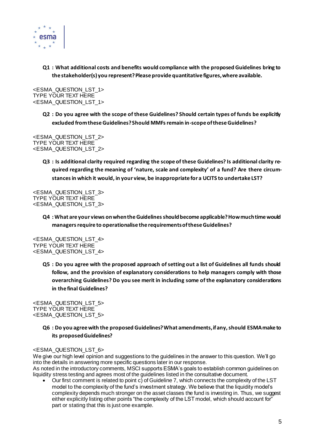

**Q1 : What additional costs and benefits would compliance with the proposed Guidelines bring to the stakeholder(s) you represent? Please provide quantitative figures, where available.**

<ESMA\_QUESTION\_LST\_1> TYPE YOUR TEXT HERE <ESMA\_QUESTION\_LST\_1>

> **Q2 : Do you agree with the scope of these Guidelines? Should certain types of funds be explicitly excluded from these Guidelines? Should MMFs remain in-scope of these Guidelines?**

<ESMA\_QUESTION\_LST\_2> TYPE YOUR TEXT HERE <ESMA\_QUESTION\_LST\_2>

> **Q3 : Is additional clarity required regarding the scope of these Guidelines? Is additional clarity required regarding the meaning of 'nature, scale and complexity' of a fund? Are there circumstances in which it would, in your view, be inappropriate for a UCITS to undertake LST?**

<ESMA\_QUESTION\_LST\_3> TYPE YOUR TEXT HERE <ESMA\_QUESTION\_LST\_3>

> **Q4 : What are your views on when the Guidelines should become applicable? How much time would managers require to operationalise the requirements of these Guidelines?**

<ESMA\_QUESTION\_LST\_4> TYPE YOUR TEXT HERE <ESMA\_QUESTION\_LST\_4>

> **Q5 : Do you agree with the proposed approach of setting out a list of Guidelines all funds should follow, and the provision of explanatory considerations to help managers comply with those overarching Guidelines? Do you see merit in including some of the explanatory considerations in the final Guidelines?**

<ESMA\_QUESTION\_LST\_5> TYPE YOUR TEXT HERE <ESMA\_QUESTION\_LST\_5>

## **Q6 : Do you agree with the proposed Guidelines? What amendments, if any, should ESMA make to its proposed Guidelines?**

<ESMA\_QUESTION\_LST\_6>

We give our high level opinion and suggestions to the guidelines in the answer to this question. We'll go into the details in answering more specific questions later in our response.

As noted in the introductory comments, MSCI supports ESMA's goals to establish common guidelines on liquidity stress testing and agrees most of the guidelines listed in the consultative document.

• Our first comment is related to point c) of Guideline 7, which connects the complexity of the LST model to the complexity of the fund's investment strategy. We believe that the liquidity model's complexity depends much stronger on the asset classes the fund is investing in. Thus, we suggest either explicitly listing other points "the complexity of the LST model, which should account for" part or stating that this is just one example.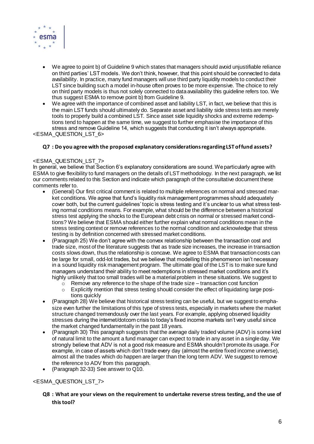

- We agree to point b) of Guideline 9 which states that managers should avoid unjustifiable reliance on third parties' LST models. We don't think, however, that this point should be connected to data availability. In practice, many fund managers will use third party liquidity models to conduct their LST since building such a model in-house often proves to be more expensive. The choice to rely on third party models is thus not solely connected to data availability this guideline refers too. We thus suggest ESMA to remove point b) from Guideline 9.
- We agree with the importance of combined asset and liability LST, in fact, we believe that this is the main LST funds should ultimately do. Separate asset and liability side stress tests are merely tools to properly build a combined LST. Since asset side liquidity shocks and extreme redemptions tend to happen at the same time, we suggest to further emphasise the importance of this stress and remove Guideline 14, which suggests that conducting it isn't always appropriate.

<ESMA\_QUESTION\_LST\_6>

#### **Q7 : Do you agree with the proposed explanatory considerationsregarding LST of fund assets?**

#### <ESMA\_QUESTION\_LST\_7>

In general, we believe that Section 6's explanatory considerations are sound. We particularly agree with ESMA to give flexibility to fund managers on the details of LST methodology. In the next paragraph, we list our comments related to this Section and indicate which paragraph of the consultative document these comments refer to.

- (General) Our first critical comment is related to multiple references on normal and stressed market conditions. We agree that fund's liquidity risk management programmes should adequately cover both, but the current guidelines' topic is stress testing and it's unclear to us what stress testing normal conditions means. For example, what should be the difference between a historical stress test applying the shocks to the European debt crisis on normal or stressed market conditions? We believe that ESMA should either further explain what normal conditions mean in the stress testing context or remove references to the normal condition and acknowledge that stress testing is by definition concerned with stressed market conditions.
- (Paragraph 25) We don't agree with the convex relationship between the transaction cost and trade size, most of the literature suggests that as trade size increases, the increase in transaction costs slows down, thus the relationship is concave. We agree to ESMA that transaction costs can be large for small, odd-lot trades, but we believe that modelling this phenomenon isn't necessary in a sound liquidity risk management program. The ultimate goal of the LST is to make sure fund managers understand their ability to meet redemptions in stressed market conditions and it's highly unlikely that too small trades will be a material problem in these situations. We suggest to
	- $\circ$  Remove any reference to the shape of the trade size transaction cost function
	- $\circ$  Explicitly mention that stress testing should consider the effect of liquidating large positions quickly
- (Paragraph 28) We believe that historical stress testing can be useful, but we suggest to emphasize even further the limitations of this type of stress tests, especially in markets where the market structure changed tremendously over the last years. For example, applying observed liquidity stresses during the internet/dotcom crisis to today's fixed income markets isn't very useful since the market changed fundamentally in the past 18 years.
- (Paragraph 30) This paragraph suggests that the average daily traded volume (ADV) is some kind of natural limit to the amount a fund manager can expect to trade in any asset in a single day. We strongly believe that ADV is not a good risk measure and ESMA shouldn't promote its usage. For example, in case of assets which don't trade every day (almost the entire fixed income universe), almost all the trades which do happen are larger than the long term ADV. We suggest to remove the reference to ADV from this paragraph.
- (Paragraph 32-33) See answer to Q10.

## <ESMA\_QUESTION\_LST\_7>

## **Q8 : What are your views on the requirement to undertake reverse stress testing, and the use of this tool?**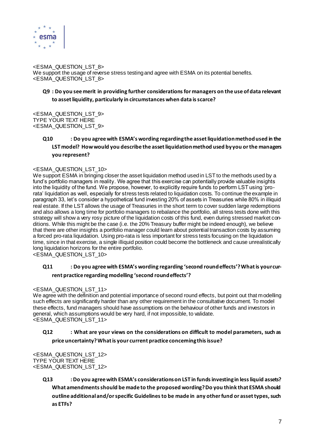

<ESMA\_QUESTION\_LST\_8> We support the usage of reverse stress testing and agree with ESMA on its potential benefits. <ESMA\_QUESTION\_LST\_8>

# **Q9 : Do you see merit in providing further considerationsfor managers on the use of data relevant to asset liquidity, particularly in circumstances when data is scarce?**

<ESMA\_QUESTION\_LST\_9> TYPE YOUR TEXT HERE <ESMA\_QUESTION\_LST\_9>

> **Q10 : Do you agree with ESMA's wording regarding the asset liquidation method used in the LST model? How would you describe the asset liquidation method used by you or the managers you represent?**

## <ESMA\_QUESTION\_LST\_10>

We support ESMA in bringing closer the asset liquidation method used in LST to the methods used by a fund's portfolio managers in reality. We agree that this exercise can potentially provide valuable insights into the liquidity of the fund. We propose, however, to explicitly require funds to perform LST using 'prorata' liquidation as well, especially for stress tests related to liquidation costs. To continue the example in paragraph 33, let's consider a hypothetical fund investing 20% of assets in Treasuries while 80% in illiquid real estate. If the LST allows the usage of Treasuries in the short term to cover sudden large redemptions and also allows a long time for portfolio managers to rebalance the portfolio, all stress tests done with this strategy will show a very rosy picture of the liquidation costs of this fund, even during stressed market conditions. While this might be the case (i.e. the 20% Treasury buffer might be indeed enough), we believe that there are other insights a portfolio manager could learn about potential transaction costs by assuming a forced pro-rata liquidation. Using pro-rata is less important for stress tests focusing on the liquidation time, since in that exercise, a single illiquid position could become the bottleneck and cause unrealistically long liquidation horizons for the entire portfolio.

<ESMA\_QUESTION\_LST\_10>

# **Q11 : Do you agree with ESMA's wording regarding 'second round effects'? What is your current practice regarding modelling 'second round effects'?**

#### <ESMA\_QUESTION\_LST\_11>

We agree with the definition and potential importance of second round effects, but point out that modelling such effects are significantly harder than any other requirement in the consultative document. To model these effects, fund managers should have assumptions on the behaviour of other funds and investors in general, which assumptions would be very hard, if not impossible, to validate. <ESMA\_QUESTION\_LST\_11>

# **Q12 : What are your views on the considerations on difficult to model parameters, such as price uncertainty? What is your current practice concerning this issue?**

<ESMA\_QUESTION\_LST\_12> TYPE YOUR TEXT HERE <ESMA\_QUESTION\_LST\_12>

> **Q13 : Do you agree with ESMA's considerationson LST in funds investing in less liquid assets? What amendments should be made to the proposed wording? Do you think that ESMA should outline additional and/or specific Guidelinesto be made in any other fund or asset types, such as ETFs?**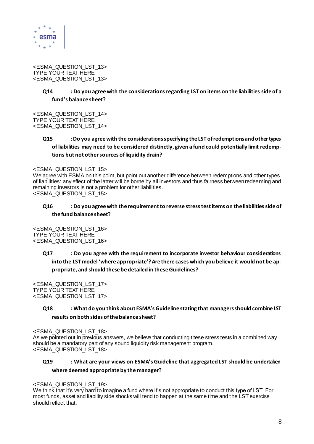

<ESMA\_QUESTION\_LST\_13> TYPE YOUR TEXT HERE <ESMA\_QUESTION\_LST\_13>

## **Q14 : Do you agree with the considerationsregarding LST on items on the liabilities side of a fund's balance sheet?**

<ESMA\_QUESTION\_LST\_14> TYPE YOUR TEXT HERE <ESMA\_QUESTION\_LST\_14>

# **Q15 : Do you agree with the considerationsspecifying the LST of redemptions and other types of liabilities may need to be considered distinctly, given a fund could potentially limit redemptions but not other sources of liquidity drain?**

#### <ESMA\_QUESTION\_LST\_15>

We agree with ESMA on this point, but point out another difference between redemptions and other types of liabilities: any effect of the latter will be borne by all investors and thus fairness between redeeming and remaining investors is not a problem for other liabilities. <ESMA\_QUESTION\_LST\_15>

## **Q16 : Do you agree with the requirement to reverse stress test items on the liabilities side of the fund balance sheet?**

<ESMA\_QUESTION\_LST\_16> TYPE YOUR TEXT HERE <ESMA\_QUESTION\_LST\_16>

# **Q17 : Do you agree with the requirement to incorporate investor behaviour considerations into the LST model 'where appropriate'? Are there cases which you believe it would not be appropriate, and should these be detailed in these Guidelines?**

<ESMA\_QUESTION\_LST\_17> TYPE YOUR TEXT HERE <ESMA\_QUESTION\_LST\_17>

# **Q18 : What do you think about ESMA's Guideline stating that managers should combine LST results on both sides of the balance sheet?**

<ESMA\_QUESTION\_LST\_18> As we pointed out in previous answers, we believe that conducting these stress tests in a combined way should be a mandatory part of any sound liquidity risk management program. <ESMA\_QUESTION\_LST\_18>

# **Q19 : What are your views on ESMA's Guideline that aggregated LST should be undertaken where deemed appropriate by the manager?**

#### <ESMA\_QUESTION\_LST\_19>

We think that it's very hard to imagine a fund where it's not appropriate to conduct this type of LST. For most funds, asset and liability side shocks will tend to happen at the same time and the LST exercise should reflect that.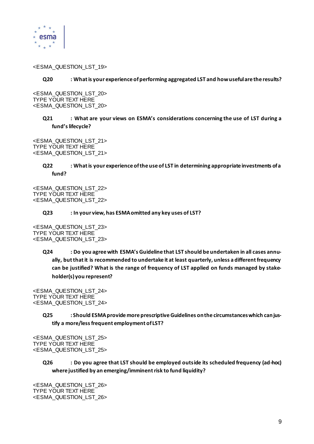

#### <ESMA\_QUESTION\_LST\_19>

#### **Q20 : What is your experience of performing aggregated LST and how useful are the results?**

<ESMA\_QUESTION\_LST\_20> TYPE YOUR TEXT HERE <ESMA\_QUESTION\_LST\_20>

## **Q21 : What are your views on ESMA's considerations concerning the use of LST during a fund's lifecycle?**

<ESMA\_QUESTION\_LST\_21> TYPE YOUR TEXT HERE <ESMA\_QUESTION\_LST\_21>

## **Q22 : What is your experience of the use of LST in determining appropriate investments of a fund?**

<ESMA\_QUESTION\_LST\_22> TYPE YOUR TEXT HERE <ESMA\_QUESTION\_LST\_22>

#### **Q23 : In your view, has ESMA omitted any key uses of LST?**

<ESMA\_QUESTION\_LST\_23> TYPE YOUR TEXT HERE <ESMA\_QUESTION\_LST\_23>

> **Q24 : Do you agree with ESMA's Guideline that LST should be undertaken in all cases annually, but that it is recommended to undertake it at least quarterly, unless a different frequency can be justified? What is the range of frequency of LST applied on funds managed by stakeholder(s) you represent?**

<ESMA\_QUESTION\_LST\_24> TYPE YOUR TEXT HERE <ESMA\_QUESTION\_LST\_24>

> **Q25 : Should ESMA provide more prescriptive Guidelines on the circumstances which can justify a more/less frequent employment of LST?**

<ESMA\_QUESTION\_LST\_25> TYPE YOUR TEXT HERE <ESMA\_QUESTION\_LST\_25>

## **Q26 : Do you agree that LST should be employed outside its scheduled frequency (ad-hoc) where justified by an emerging/imminent risk to fund liquidity?**

<ESMA\_QUESTION\_LST\_26> TYPE YOUR TEXT HERE <ESMA\_QUESTION\_LST\_26>